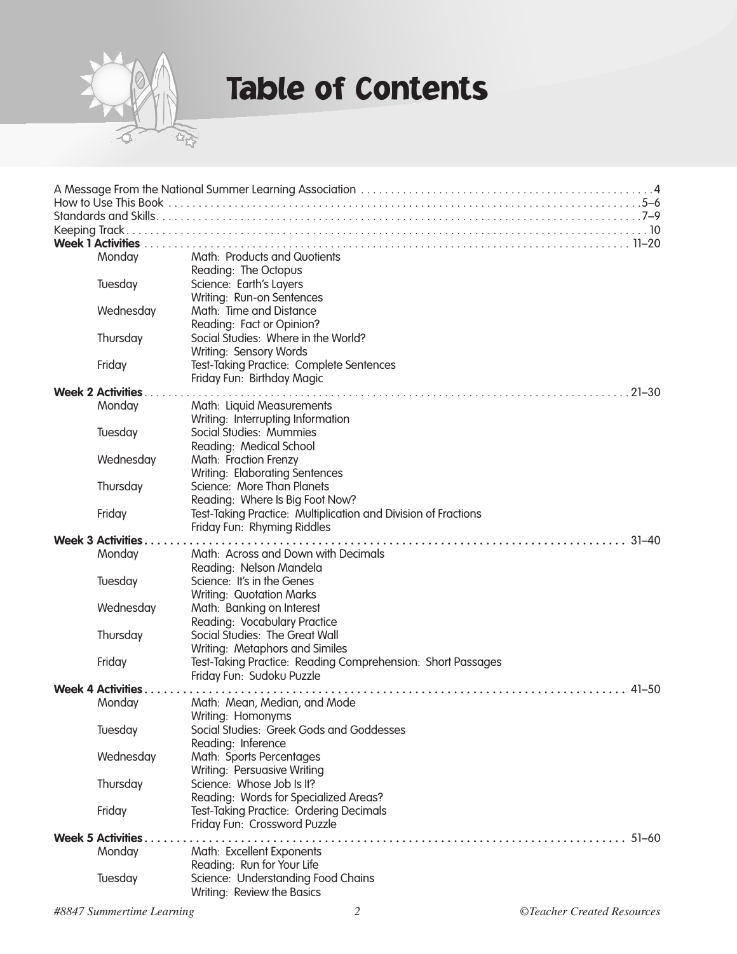

#### Table of Contents

| <b>Week 1 Activities</b>               |                          |                                                                |  |  |
|----------------------------------------|--------------------------|----------------------------------------------------------------|--|--|
|                                        | Monday                   | Math: Products and Quotients                                   |  |  |
|                                        |                          | Reading: The Octopus                                           |  |  |
|                                        | Tuesday                  | Science: Earth's Layers                                        |  |  |
|                                        |                          | Writing: Run-on Sentences                                      |  |  |
|                                        | Wednesday                | Math: Time and Distance                                        |  |  |
|                                        |                          | Reading: Fact or Opinion?                                      |  |  |
|                                        | Thursday                 | Social Studies: Where in the World?                            |  |  |
|                                        |                          | Writing: Sensory Words                                         |  |  |
|                                        | Friday                   | Test-Taking Practice: Complete Sentences                       |  |  |
|                                        |                          | Friday Fun: Birthday Magic                                     |  |  |
| <b>Week 2 Activities.</b><br>$21 - 30$ |                          |                                                                |  |  |
|                                        | Monday                   | Math: Liquid Measurements                                      |  |  |
|                                        |                          | Writing: Interrupting Information                              |  |  |
|                                        | Tuesday                  | Social Studies: Mummies                                        |  |  |
|                                        |                          | Reading: Medical School                                        |  |  |
|                                        | Wednesday                | Math: Fraction Frenzy                                          |  |  |
|                                        |                          | Writing: Elaborating Sentences                                 |  |  |
|                                        | Thursday                 | Science: More Than Planets                                     |  |  |
|                                        |                          | Reading: Where Is Big Foot Now?                                |  |  |
|                                        | Friday                   | Test-Taking Practice: Multiplication and Division of Fractions |  |  |
|                                        |                          | Friday Fun: Rhyming Riddles                                    |  |  |
|                                        | <b>Week 3 Activities</b> | Math: Across and Down with Decimals                            |  |  |
|                                        | Monday                   | Reading: Nelson Mandela                                        |  |  |
|                                        | Tuesday                  | Science: It's in the Genes                                     |  |  |
|                                        |                          | <b>Writing: Quotation Marks</b>                                |  |  |
|                                        | Wednesday                | Math: Banking on Interest                                      |  |  |
|                                        |                          | Reading: Vocabulary Practice                                   |  |  |
|                                        | Thursday                 | Social Studies: The Great Wall                                 |  |  |
|                                        |                          | Writing: Metaphors and Similes                                 |  |  |
|                                        | Friday                   | Test-Taking Practice: Reading Comprehension: Short Passages    |  |  |
|                                        |                          | Friday Fun: Sudoku Puzzle                                      |  |  |
| <b>Week 4 Activities</b>               |                          |                                                                |  |  |
|                                        | Monday                   | Math: Mean, Median, and Mode                                   |  |  |
|                                        |                          | Writing: Homonyms                                              |  |  |
|                                        | Tuesday                  | Social Studies: Greek Gods and Goddesses                       |  |  |
|                                        |                          | Reading: Inference                                             |  |  |
|                                        | Wednesday                | Math: Sports Percentages                                       |  |  |
|                                        |                          | Writing: Persuasive Writing                                    |  |  |
|                                        | Thursday                 | Science: Whose Job Is It?                                      |  |  |
|                                        |                          | Reading: Words for Specialized Areas?                          |  |  |
|                                        | Friday                   | Test-Taking Practice: Ordering Decimals                        |  |  |
|                                        |                          | Friday Fun: Crossword Puzzle                                   |  |  |
| <b>Week 5 Activities.</b>              |                          |                                                                |  |  |
|                                        | Monday                   | Math: Excellent Exponents                                      |  |  |
|                                        |                          | Reading: Run for Your Life                                     |  |  |
|                                        | Tuesday                  | Science: Understanding Food Chains                             |  |  |
|                                        |                          | Writing: Review the Basics                                     |  |  |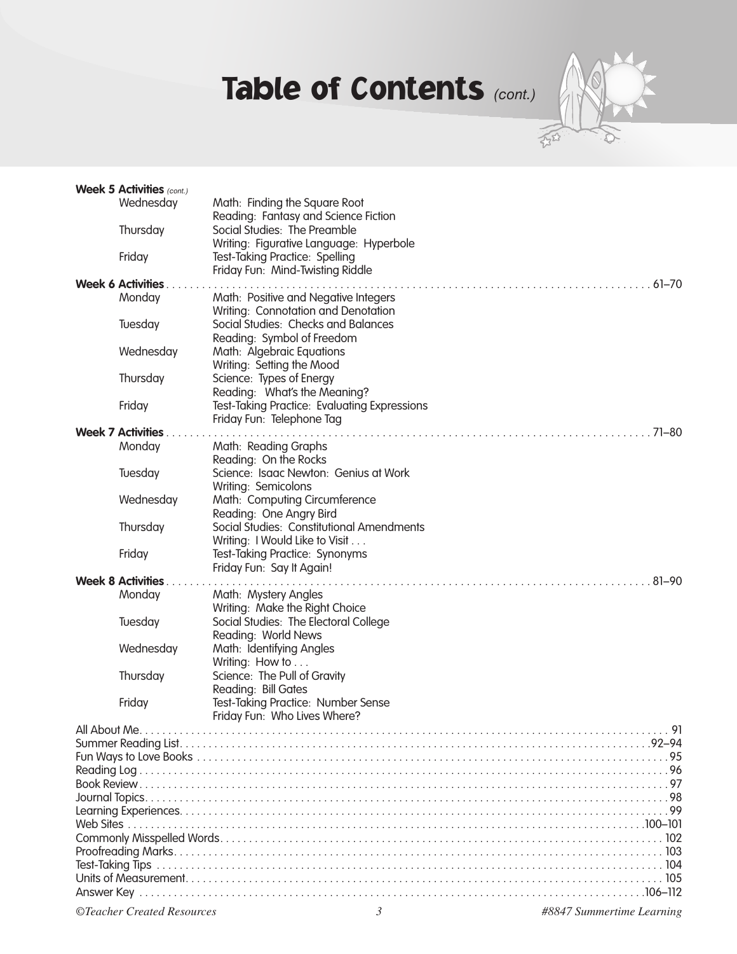# Table of Contents *(cont.)*



|                                         | <b>Week 5 Activities</b> (cont.) |                                                                  |  |  |
|-----------------------------------------|----------------------------------|------------------------------------------------------------------|--|--|
|                                         | Wednesday                        | Math: Finding the Square Root                                    |  |  |
|                                         |                                  | Reading: Fantasy and Science Fiction                             |  |  |
|                                         | Thursday                         | Social Studies: The Preamble                                     |  |  |
|                                         |                                  | Writing: Figurative Language: Hyperbole                          |  |  |
|                                         | Friday                           | Test-Taking Practice: Spelling                                   |  |  |
|                                         |                                  | Friday Fun: Mind-Twisting Riddle                                 |  |  |
|                                         | <b>Week 6 Activities.</b>        |                                                                  |  |  |
|                                         | Monday                           | Math: Positive and Negative Integers                             |  |  |
|                                         |                                  | Writing: Connotation and Denotation                              |  |  |
|                                         | Tuesday                          | Social Studies: Checks and Balances                              |  |  |
|                                         | Wednesday                        | Reading: Symbol of Freedom<br>Math: Algebraic Equations          |  |  |
|                                         |                                  | Writing: Setting the Mood                                        |  |  |
|                                         | Thursday                         | Science: Types of Energy                                         |  |  |
|                                         |                                  | Reading: What's the Meaning?                                     |  |  |
|                                         | Friday                           | Test-Taking Practice: Evaluating Expressions                     |  |  |
|                                         |                                  | Friday Fun: Telephone Tag                                        |  |  |
|                                         | <b>Week 7 Activities.</b>        | $71 - 80$                                                        |  |  |
|                                         | Monday                           | Math: Reading Graphs                                             |  |  |
|                                         |                                  | Reading: On the Rocks                                            |  |  |
|                                         | Tuesday                          | Science: Isaac Newton: Genius at Work                            |  |  |
|                                         |                                  | Writing: Semicolons                                              |  |  |
|                                         | Wednesday                        | Math: Computing Circumference                                    |  |  |
|                                         |                                  | Reading: One Angry Bird                                          |  |  |
|                                         | Thursday                         | Social Studies: Constitutional Amendments                        |  |  |
|                                         | Friday                           | Writing: I Would Like to Visit<br>Test-Taking Practice: Synonyms |  |  |
|                                         |                                  | Friday Fun: Say It Again!                                        |  |  |
| <b>Week 8 Activities.</b><br>$.81 - 90$ |                                  |                                                                  |  |  |
|                                         | Monday                           | Math: Mystery Angles                                             |  |  |
|                                         |                                  | Writing: Make the Right Choice                                   |  |  |
|                                         | Tuesday                          | Social Studies: The Electoral College                            |  |  |
|                                         |                                  | Reading: World News                                              |  |  |
|                                         | Wednesday                        | Math: Identifying Angles                                         |  |  |
|                                         |                                  | Writing: How to                                                  |  |  |
|                                         | Thursday                         | Science: The Pull of Gravity                                     |  |  |
|                                         |                                  | Reading: Bill Gates                                              |  |  |
|                                         | Friday                           | Test-Taking Practice: Number Sense                               |  |  |
|                                         |                                  | Friday Fun: Who Lives Where?                                     |  |  |
|                                         |                                  |                                                                  |  |  |
|                                         |                                  |                                                                  |  |  |
|                                         |                                  |                                                                  |  |  |
|                                         |                                  |                                                                  |  |  |
|                                         |                                  |                                                                  |  |  |
|                                         |                                  |                                                                  |  |  |
|                                         |                                  |                                                                  |  |  |
|                                         |                                  |                                                                  |  |  |
|                                         |                                  |                                                                  |  |  |
|                                         |                                  |                                                                  |  |  |
|                                         |                                  |                                                                  |  |  |
|                                         |                                  |                                                                  |  |  |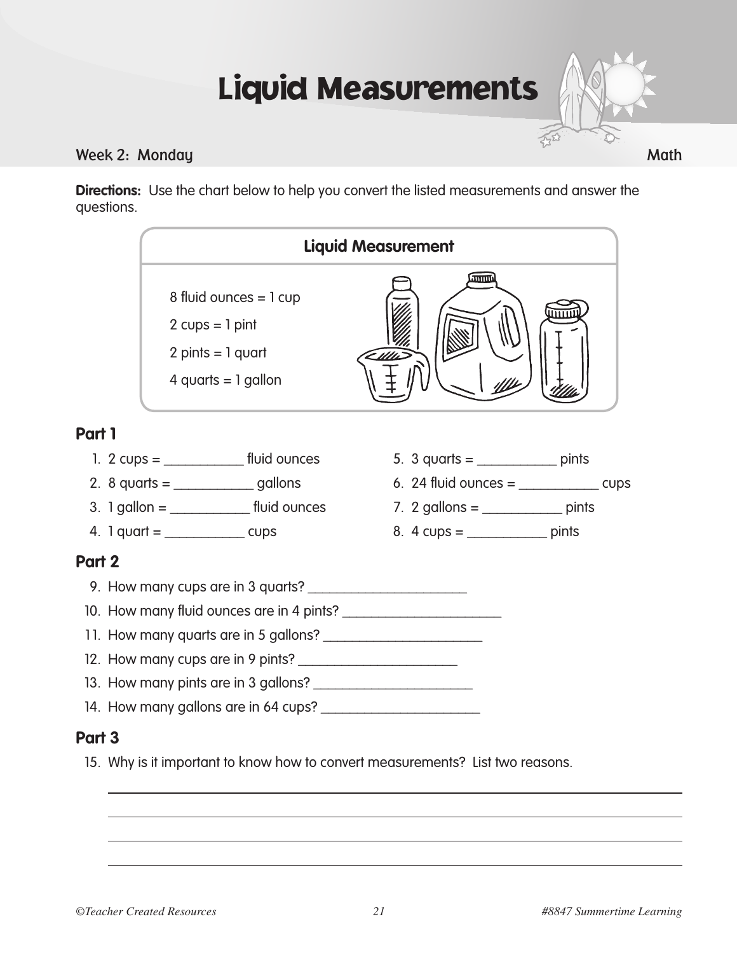## Liquid Measurements

#### Week 2: Monday Math

**Directions:** Use the chart below to help you convert the listed measurements and answer the questions.

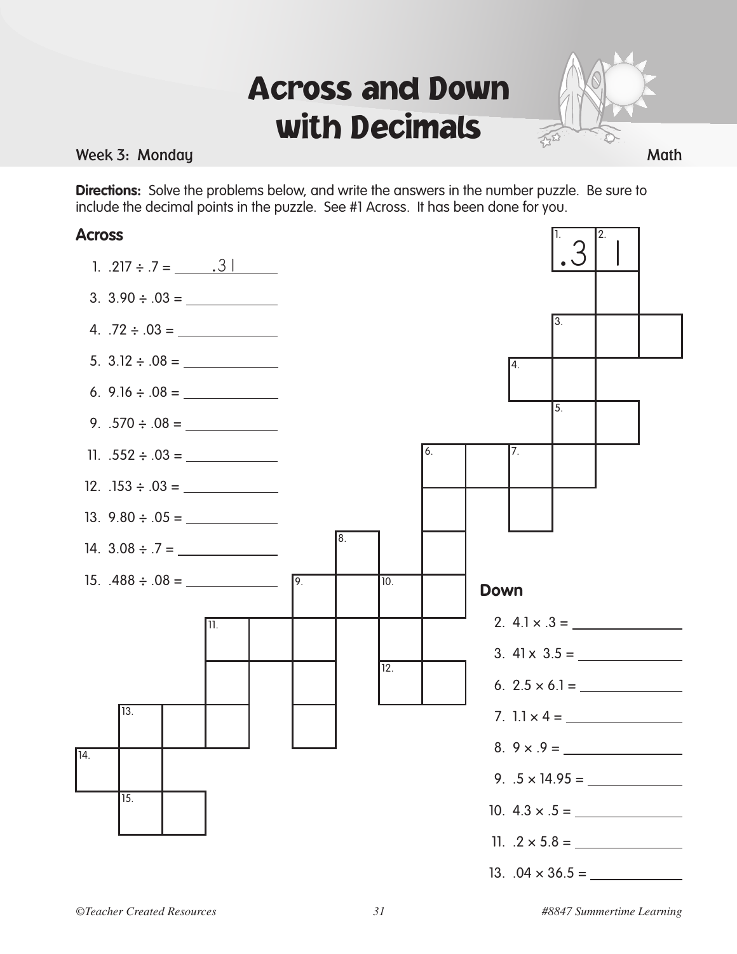### Across and Down with Decimals



2.

1.

**Directions:** Solve the problems below, and write the answers in the number puzzle. Be sure to include the decimal points in the puzzle. See #1 Across. It has been done for you.

#### **Across**